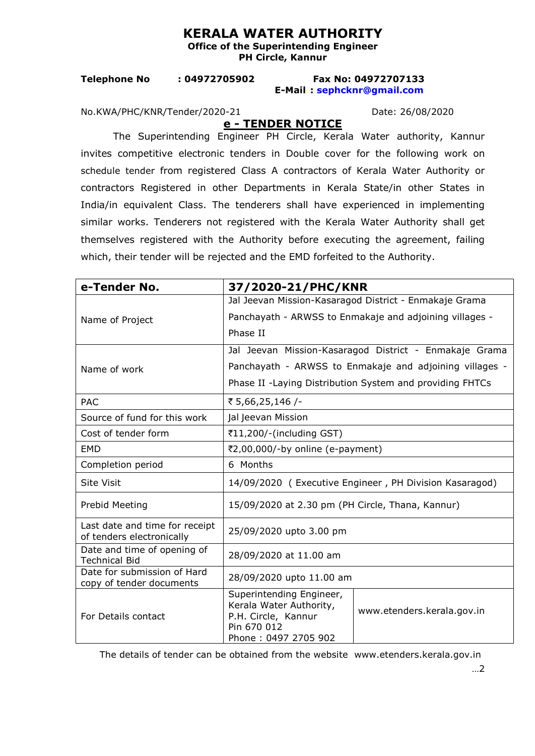## **KERALA WATER AUTHORITY**

**Office of the Superintending Engineer PH Circle, Kannur** 

## **Telephone No : 04972705902 Fax No: 04972707133 E-Mail : [sephcknr@gmail.com](mailto:sephcknr@gmail.com)**

No.KWA/PHC/KNR/Tender/2020-21 Date: 26/08/2020

**e - TENDER NOTICE**

The Superintending Engineer PH Circle, Kerala Water authority, Kannur invites competitive electronic tenders in Double cover for the following work on schedule tender from registered Class A contractors of Kerala Water Authority or contractors Registered in other Departments in Kerala State/in other States in India/in equivalent Class. The tenderers shall have experienced in implementing similar works. Tenderers not registered with the Kerala Water Authority shall get themselves registered with the Authority before executing the agreement, failing which, their tender will be rejected and the EMD forfeited to the Authority.

| e-Tender No.                                                | 37/2020-21/PHC/KNR                                                                                                |                            |
|-------------------------------------------------------------|-------------------------------------------------------------------------------------------------------------------|----------------------------|
|                                                             | Jal Jeevan Mission-Kasaragod District - Enmakaje Grama                                                            |                            |
| Name of Project                                             | Panchayath - ARWSS to Enmakaje and adjoining villages -                                                           |                            |
|                                                             | Phase II                                                                                                          |                            |
| Name of work                                                | Jal Jeevan Mission-Kasaragod District - Enmakaje Grama                                                            |                            |
|                                                             | Panchayath - ARWSS to Enmakaje and adjoining villages -                                                           |                            |
|                                                             | Phase II - Laying Distribution System and providing FHTCs                                                         |                            |
| <b>PAC</b>                                                  | ₹ 5,66,25,146 /-                                                                                                  |                            |
| Source of fund for this work                                | Jal Jeevan Mission                                                                                                |                            |
| Cost of tender form                                         | ₹11,200/-(including GST)                                                                                          |                            |
| <b>EMD</b>                                                  | ₹2,00,000/-by online (e-payment)                                                                                  |                            |
| Completion period                                           | 6 Months                                                                                                          |                            |
| <b>Site Visit</b>                                           | 14/09/2020 (Executive Engineer, PH Division Kasaragod)                                                            |                            |
| Prebid Meeting                                              | 15/09/2020 at 2.30 pm (PH Circle, Thana, Kannur)                                                                  |                            |
| Last date and time for receipt<br>of tenders electronically | 25/09/2020 upto 3.00 pm                                                                                           |                            |
| Date and time of opening of<br><b>Technical Bid</b>         | 28/09/2020 at 11.00 am                                                                                            |                            |
| Date for submission of Hard<br>copy of tender documents     | 28/09/2020 upto 11.00 am                                                                                          |                            |
| For Details contact                                         | Superintending Engineer,<br>Kerala Water Authority,<br>P.H. Circle, Kannur<br>Pin 670 012<br>Phone: 0497 2705 902 | www.etenders.kerala.gov.in |

The details of tender can be obtained from the website www.etenders.kerala.gov.in